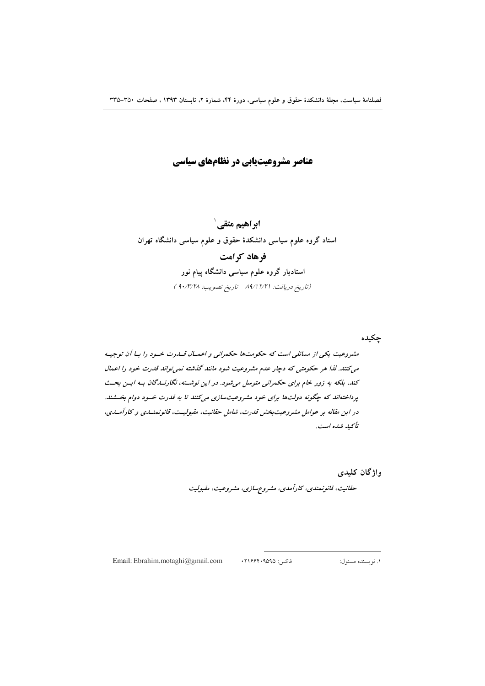عناصر مشروعیتیابی در نظامهای سیاسی

ابراهیم متقے ` استاد گروه علوم سیاسی دانشکدهٔ حقوق و علوم سیاسی دانشگاه تهران فرهاد کرامت استادیار گروه علوم سیاسی دانشگاه پیام نور (تاريخ دريافت: ١٢/١٢/٢١ - تاريخ تصويب: ٩٠/٣/٢٨ )

جكيده مشروعیت یکی از مسائلی است که حکومتها حکمرانی و اعمـال قــدرت خــود را بــا آن توجیــه می کنند. لذا هر حکومتی که دچار عدم مشروعیت شود مانند گذشته نمی تواند قدرت خود را اعمال کند، بلکه به زور خام برای حکمرانی متوسل میشود. در این نوشته، نگارنسدگان به ایس بحث پرداختهاند که چگونه دولتها برای خود مشروعیتسازی میکنند تا به قدرت خسود دوام بخشند. در این مقاله بر عوامل مشروعیت بخش قدرت، شامل حقانیت، مقبولیت، قانونمنسدی و کارآمسدی، تأېيد شده است.

> واژگان کلیدی حقانیت، قانونهندی، کارآمدی، مشروع سازی، مشروعیت، مقبولیت

Email: Ebrahim.motaghi@gmail.com

فاكس: ٢١۶۶۴٠٩۵٩۵

۱. نویسنده مسئول: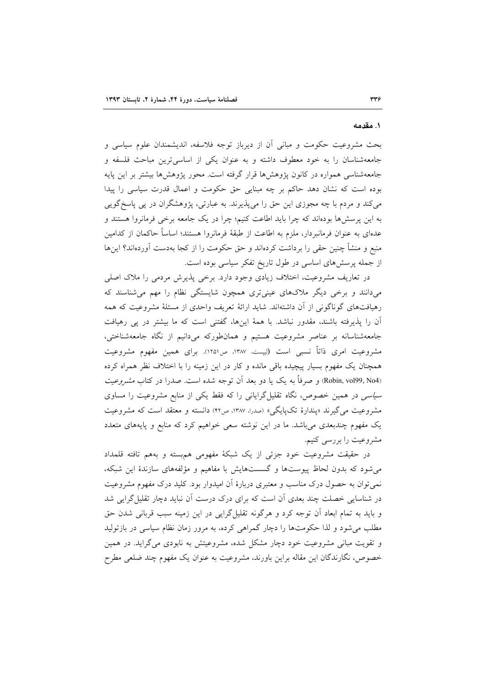#### ١. مقدمه

بحث مشروعیت حکومت و مبانی آن از دیرباز توجه فلاسفه، اندیشمندان علوم سیاسی و جامعهشناسان را به خود معطوف داشته و به عنوان یکی از اساسیترین مباحث فلسفه و جامعهشناسی همواره در کانون یژوهش۵ها قرار گرفته است. محور یژوهشها بیشتر بر این پایه بوده است که نشان دهد حاکم بر چه مبنایی حق حکومت و اعمال قدرت سیاسی را پیدا میکند و مردم با چه مجوزی این حق را میپذیرند. به عبارتی، پژوهشگران در پی پاسخ گویی به این پرسشها بودهاند که چرا باید اطاعت کنیم؛ چرا در یک جامعه برخی فرمانروا هستند و عدهای به عنوان فرمانبردار، ملزم به اطاعت از طبقهٔ فرمانروا هستند؛ اساساً حاکمان از کدامین منبع و منشأ چنین حقی را برداشت کردهاند و حق حکومت را از کجا بهدست آوردهاند؟ اینها از جمله پرسشهای اساسی در طول تاریخ تفکر سیاسی بوده است.

در تعاریف مشروعیت، اختلاف زیادی وجود دارد. برخی پذیرش مردمی را ملاک اصلی میدانند و برخی دیگر ملاکهای عینیتری همچون شایستگی نظام را مهم میشناسند که رهیافتهای گوناگونی از آن داشتهاند. شاید ارائهٔ تعریف واحدی از مسئلهٔ مشروعیت که همه آن را پذیرفته باشند، مقدور نباشد. با همهٔ اینها، گفتنی است که ما بیشتر در پی رهیافت جامعهشناسانه بر عناصر مشروعیت هستیم و همانطورکه میدانیم از نگاه جامعهشناختی، مشروعیت امری ذاتاً نسبی است (لیپست، ۱۳۸۷، ص۱۲۵۱). برای همین مفهوم مشروعیت همچنان یک مفهوم بسیار پیچیده باقی مانده و کار در این زمینه را با اختلاف نظر همراه کرده (Robin, vol99, No4) و صرفاً به یک یا دو بعد آن توجه شده است. صدرا در کتاب *مشروعیت* سی*اسی* در همین خصوص، نگاه تقلیلگرایانی را که فقط یکی از منابع مشروعیت را مساوی مشروعیت می گیرند «پندارهٔ تکیایگی» (صدرا، ۱۳۸۷، ص۴۲) دانسته و معتقد است که مشروعیت یک مفهوم چندبعدی میباشد. ما در این نوشته سعی خواهیم کرد که منابع و پایههای متعدد مشروعیت را بررسی کنیم.

در حقیقت مشروعیت خود جزئی از یک شبکهٔ مفهومی هم بسته و بههم تافته قلمداد می شود که بدون لحاظ پیوستها و گسستهایش با مفاهیم و مؤلفههای سازندهٔ این شبکه، نمی توان به حصول درک مناسب و معتبری دربارهٔ آن امیدوار بود. کلید درک مفهوم مشروعیت در شناسایی خصلت چند بعدی آن است که برای درک درست آن نباید دچار تقلیل گرایی شد و باید به تمام ابعاد آن توجه کرد و هرگونه تقلیل گرایی در این زمینه سبب قربانی شدن حق مطلب می شود و لذا حکومتها را دچار گمراهی کرده، به مرور زمان نظام سیاسی در بازتولید و تقویت مبانی مشروعیت خود دچار مشکل شده، مشروعیتش به نابودی میگراید. در همین خصوص، نگارندگان این مقاله براین باورند، مشروعیت به عنوان یک مفهوم چند ضلعی مطرح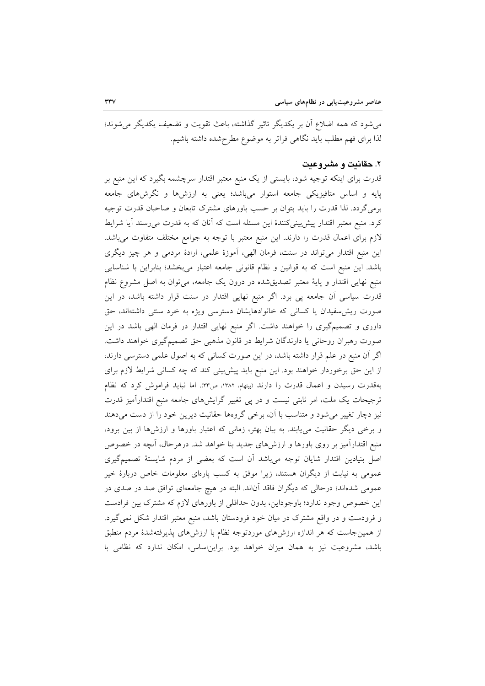می شود که همه اضلاع آن بر یکدیگر تاثیر گذاشته، باعث تقویت و تضعیف یکدیگر می شوند؛ لذا براي فهم مطلب بايد نگاهي فراتر به موضوع مطرح شده داشته باشيم.

### ۲. حقانیت و مشروعیت

قدرت برای اینکه توجیه شود، بایستی از یک منبع معتبر اقتدار سرچشمه بگیرد که این منبع بر پایه و اساس متافیزیکی جامعه استوار میباشد؛ یعنی به ارزشها و نگرشهای جامعه برمیگردد. لذا قدرت را باید بتوان بر حسب باورهای مشترک تابعان و صاحبان قدرت توجیه کرد. منبع معتبر اقتدار پیشبینیکنندهٔ این مسئله است که آنان که به قدرت میرسند آیا شرایط لازم برای اعمال قدرت را دارند. این منبع معتبر با توجه به جوامع مختلف متفاوت میباشد. این منبع اقتدار میتواند در سنت، فرمان الهی، آموزهٔ علمی، ارادهٔ مردمی و هر چیز دیگری باشد. این منبع است که به قوانین و نظام قانونی جامعه اعتبار میبخشد؛ بنابراین با شناسایی منبع نهایی اقتدار و پایهٔ معتبر تصدیقشده در درون یک جامعه، میتوان به اصل مشروع نظام قدرت سیاسی آن جامعه پی برد. اگر منبع نهایی اقتدار در سنت قرار داشته باشد، در این صورت ریش سفیدان یا کسانی که خانوادهایشان دسترسی ویژه به خرد سنتی داشتهاند، حق داوری و تصمیمگیری را خواهند داشت. اگر منبع نهایی اقتدار در فرمان الهی باشد در این صورت رهبران روحانی یا دارندگان شرایط در قانون مذهبی حق تصمیمگیری خواهند داشت. اگر آن منبع در علم قرار داشته باشد، در این صورت کسانی که به اصول علمی دسترسی دارند، از این حق برخوردار خواهند بود. این منبع باید پیش بینی کند که چه کسانی شرایط لازم برای بهقدرت رسیدن و اعمال قدرت را دارند (بیتهام، ۱۳۸۲، ص۳۳). اما نباید فراموش کرد که نظام ترجیحات یک ملت، امر ثابتی نیست و در پی تغییر گرایشهای جامعه منبع اقتدارآمیز قدرت نیز دچار تغییر می شود و متناسب با آن، برخی گروهها حقانیت دیرین خود را از دست می دهند و برخی دیگر حقانیت می یابند. به بیان بهتر، زمانی که اعتبار باورها و ارزشها از بین برود، منبع اقتدارآمیز بر روی باورها و ارزشهای جدید بنا خواهد شد. درهرحال، آنچه در خصوص اصل بنیادین اقتدار شایان توجه میباشد آن است که بعضی از مردم شایستهٔ تصمیمگیری عمومی به نیابت از دیگران هستند، زیرا موفق به کسب پارهای معلومات خاص دربارهٔ خیر عمومی شدهاند؛ درحالی که دیگران فاقد آناند. البته در هیچ جامعهای توافق صد در صدی در این خصوص وجود ندارد؛ باوجوداین، بدون حداقلی از باورهای لازم که مشترک بین فرادست و فرودست و در واقع مشترک در میان خود فرودستان باشد، منبع معتبر اقتدار شکل نمی گیرد. از همینجاست که هر اندازه ارزشهای موردتوجه نظام با ارزشهای پذیرفتهشدهٔ مردم منطبق باشد، مشروعیت نیز به همان میزان خواهد بود. براین اساس، امکان ندارد که نظامی با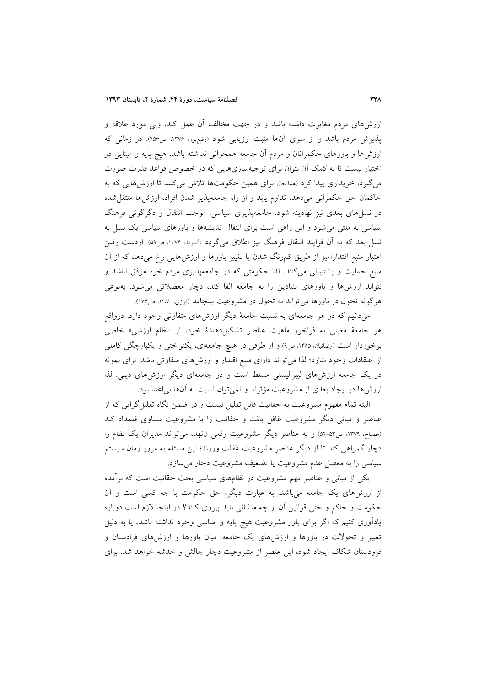ارزشهای مردم مغایرت داشته باشد و در جهت مخالف آن عمل کند، ولی مورد علاقه و پذیرش مردم باشد و از سوی آنها مثبت ارزیابی شود (رفیعپور، ۱۳۷۶، ص۴۵۶). در زمانی که ارزش۵ما و باورهای حکمرانان و مردم اَن جامعه همخوانی نداشته باشد، هیچ پایه و مبنایی در اختیار نیست تا به کمک آن بتوان برای توجیهسازیهایی که در خصوص قواعد قدرت صورت می گیرد، خریداری پیدا کرد (همانجا). برای همین حکومتها تلاش میکنند تا ارزشهایی که به حاكمان حق حكمراني مي دهد، تداوم يابد و از راه جامعهپذير شدن افراد، ارزشها منتقل شده در نسلهای بعدی نیز نهادینه شود. جامعهپذیری سیاسی، موجب انتقال و دگرگونی فرهنگ سیاسی به ملتبی می شود و این راهی است برای انتقال اندیشهها و باورهای سیاسی یک نسل به نسل بعد که به آن فرایند انتقال فرهنگ نیز اطلاق میگردد (آلموند، ۱۳۷۶، ص۵۹). ازدست رفتن اعتبار منبع اقتدارآمیز از طریق کمرنگ شدن یا تغییر باورها و ارزش۵ایی رخ میدهد که از آن منبع حمایت و پشتیبانی میکنند. لذا حکومتی که در جامعهپذیری مردم خود موفق نباشد و نتواند ارزشها و باورهای بنیادین را به جامعه القا کند، دچار معضلاتی میشود. بهنوعی هرگونه تحول در باورها می تواند به تحول در مشروعیت بینجامد (فوزی، ۱۳۸۳، ص۱۷۶).

میدانیم که در هر جامعهای به نسبت جامعهٔ دیگر ارزشهای متفاوتی وجود دارد. درواقع هر جامعهٔ معینی به فراخور ماهیت عناصر تشکیلدهندهٔ خود، از «نظام ارزشی» خاصی برخوردار است (رضائیان، ۱۳۸۵، ص۹) و از طرفی در هیچ جامعهای، یکنواختی و یکپارچگی کاملی از اعتقادات وجود ندارد؛ لذا می تواند دارای منبع اقتدار و ارزشهای متفاوتی باشد. برای نمونه در یک جامعه ارزشهای لیبرالیستی مسلط است و در جامعهای دیگر ارزشهای دینی. لذا ارزشها در ایجاد بعدی از مشروعیت مؤثرند و نمی توان نسبت به آنها بی اعتنا بود.

البته تمام مفهوم مشروعیت به حقانیت قابل تقلیل نیست و در ضمن نگاه تقلیل گرایی که از عناصر و مبانی دیگر مشروعیت غافل باشد و حقانیت را با مشروعیت مساوی قلمداد کند (مصباح، ١٣٧٩، ص٥٣-٥٢) و به عناصر ديگر مشروعيت وقعي نفهد، مي تواند مديران يک نظام را دچار گمراهی کند تا از دیگر عناصر مشروعیت غفلت ورزند؛ این مسئله به مرور زمان سیستم سیاسی را به معضل عدم مشروعیت یا تضعیف مشروعیت دچار می سازد.

یکی از مبانی و عناصر مهم مشروعیت در نظامهای سیاسی بحث حقانیت است که بر آمده از ارزشهای یک جامعه میباشد. به عبارت دیگر، حق حکومت با چه کسی است و آن حکومت و حاکم و حتی قوانین آن از چه منشائی باید پیروی کنند؟ در اینجا لازم است دوباره یادآوری کنیم که اگر برای باور مشروعیت هیچ پایه و اساسی وجود نداشته باشد، یا به دلیل تغییر و تحولات در باورها و ارزشهای یک جامعه، میان باورها و ارزشهای فرادستان و فرودستان شکاف ایجاد شود، این عنصر از مشروعیت دچار چالش و خدشه خواهد شد. برای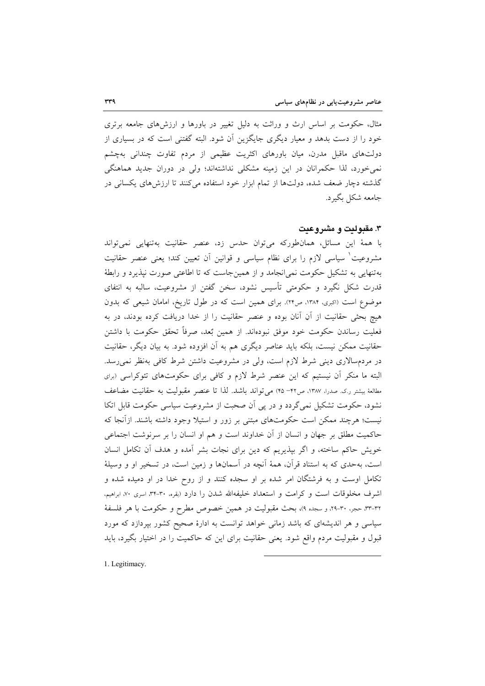مثال، حکومت بر اساس ارث و وراثت به دلیل تغییر در باورها و ارزشهای جامعه برتری خود را از دست بدهد و معیار دیگری جایگزین آن شود. البته گفتنی است که در بسیاری از دولتهای ماقبل مدرن، میان باورهای اکثریت عظیمی از مردم تفاوت چندانی بهچشم نمی خورد، لذا حکمرانان در این زمینه مشکلی نداشتهاند؛ ولی در دوران جدید هماهنگی گذشته دچار ضعف شده، دولتها از تمام ابزار خود استفاده می کنند تا ارزش های یکسانی در جامعه شکل بگیرد.

# ۳. مقدولیت و مشر و عیت

با همهٔ این مسائل، همانطورکه میتوان حدس زد، عنصر حقانیت بهتنهایی نمیتواند مشروعیت ٰ سیاسی لازم را برای نظام سیاسی و قوانین آن تعیین کند؛ یعنی عنصر حقانیت بهتنهایی به تشکیل حکومت نمی|نجامد و از همینجاست که تا اطاعتی صورت نیذیرد و رابطهٔ قدرت شکل نگیرد و حکومتی تأسیس نشود، سخن گفتن از مشروعیت، سالبه به انتفای موضوع است (اکبری، ۱۳۸۴، ص۲۴). برای همین است که در طول تاریخ، امامان شیعی که بدون هیچ بحثی حقانیت از آنِ آنان بوده و عنصر حقانیت را از خدا دریافت کرده بودند، در به فعلیت رساندن حکومت خود موفق نبودهاند. از همین بٌعد، صرفاً تحقق حکومت با داشتن حقانیت ممکن نیست، بلکه باید عناصر دیگری هم به آن افزوده شود. به بیان دیگر، حقانیت در مردمسالاری دینی شرط لازم است، ولی در مشروعیت داشتن شرط کافی بهنظر نمی رسد. البته ما منکر آن نیستیم که این عنصر شرط لازم و کافی برای حکومتهای تئوکراسی (برای مطالعهٔ بیشتر ر.ک. صدرا، ۱۳۸۷، ص۴۲–۴۵) می تواند باشد. لذا تا عنصر مقبولیت به حقانیت مضاعف نشود، حکومت تشکیل نمی گردد و در پی آن صحبت از مشروعیت سیاسی حکومت قابل اتکا نیست؛ هرچند ممکن است حکومتهای مبتنی بر زور و استیلا وجود داشته باشند. ازآنجا که حاکمیت مطلق بر جهان و انسان از آن خداوند است و هم او انسان را بر سرنوشت اجتماعی خویش حاکم ساخته، و اگر بپذیریم که دین برای نجات بشر آمده و هدف آن تکامل انسان است، بهحدی که به استناد قرآن، همهٔ آنچه در آسمانها و زمین است، در تسخیر او و وسیلهٔ تکامل اوست و به فرشتگان امر شده بر او سجده کنند و از روح خدا در او دمیده شده و اشرف مخلوقات است و كرامت و استعداد خليفهالله شدن را دارد (بقره، ٣٠-٣٠، اسرى ٧٠، ابراهيم، ٣٣-٣٣، حجر، ٣٠-٢٩، و سجده ٩)، بحث مقبوليت در همين خصوص مطرح و حكومت با هر فلسفة سیاسی و هر اندیشهای که باشد زمانی خواهد توانست به ادارهٔ صحیح کشور بپردازد که مورد قبول و مقبولیت مردم واقع شود. یعنی حقانیت برای این که حاکمیت را در اختیار بگیرد، باید

1. Legitimacy.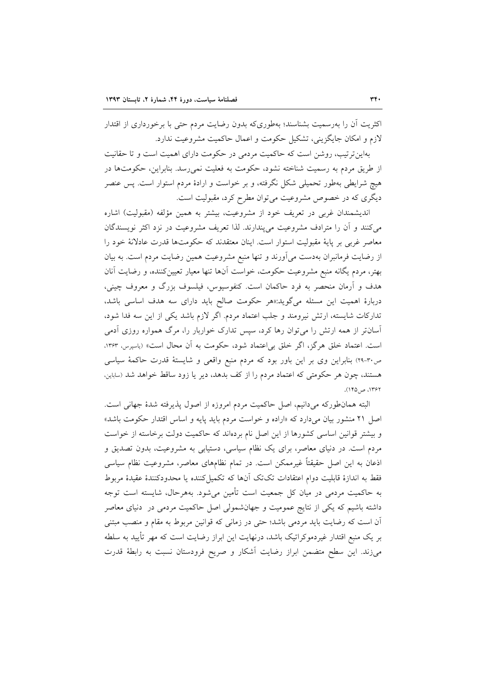اکثریت اَن را بهرسمیت بشناسند؛ بهطوریکه بدون رضایت مردم حتی با برخورداری از اقتدار لازم و امکان جایگزینی، تشکیل حکومت و اعمال حاکمیت مشروعیت ندارد.

بهاین ترتیب، روشن است که حاکمیت مردمی در حکومت دارای اهمیت است و تا حقانیت از طریق مردم به رسمیت شناخته نشود، حکومت به فعلیت نمی رسد. بنابراین، حکومتها در هیچ شرایطی بهطور تحمیلی شکل نگرفته، و بر خواست و ارادهٔ مردم استوار است. پس عنصر دیگری که در خصوص مشروعیت می توان مطرح کرد، مقبولیت است.

اندیشمندان غربی در تعریف خود از مشروعیت، بیشتر به همین مؤلفه (مقبولیت) اشاره می کنند و آن را مترادف مشروعیت می پندارند. لذا تعریف مشروعیت در نزد اکثر نویسندگان معاصر غربی بر پایهٔ مقبولیت استوار است. اینان معتقدند که حکومتها قدرت عادلانهٔ خود را از رضایت فرمانبران بهدست میآورند و تنها منبع مشروعیت همین رضایت مردم است. به بیان بهتر، مردم یگانه منبع مشروعیت حکومت، خواست آنها تنها معیار تعیین کننده، و رضایت آنان هدف و اَرمان منحصر به فرد حاکمان است. کنفوسیوس، فیلسوف بزرگ و معروف چینی، دربارهٔ اهمیت این مسئله میگوید:«هر حکومت صالح باید دارای سه هدف اساسی باشد، تداركات شايسته، ارتش نيرومند و جلب اعتماد مردم. اگر لازم باشد يكي از اين سه فدا شود، آسانتر از همه ارتش را میٍتوان رها کرد، سپس تدارک خواربار را، مرگ همواره روزی آدمی است. اعتماد خلق هرگز، اگر خلق بی|عتماد شود، حکومت به آن محال است» (پاسپرس، ۱۳۶۳، ص٣٠-٢٩) بنابراين وي بر اين باور بود كه مردم منبع واقعي و شايستهٔ قدرت حاكمهٔ سياسي هستند، چون هر حکومتی که اعتماد مردم را از کف بدهد، دیر یا زود ساقط خواهد شد (ساباین، ۱۳۶۲، ص ۱۴۵).

البته همانطورکه میدانیم، اصل حاکمیت مردم امروزه از اصول پذیرفته شدهٔ جهانی است. اصل ۲۱ منشور بیان میدارد که «اراده و خواست مردم باید پایه و اساس اقتدار حکومت باشد» و بیشتر قوانین اساسی کشورها از این اصل نام بردهاند که حاکمیت دولت برخاسته از خواست مردم است. در دنیای معاصر، برای یک نظام سیاسی، دستیابی به مشروعیت، بدون تصدیق و اذعان به این اصل حقیقتاً غیرممکن است. در تمام نظامهای معاصر، مشروعیت نظام سیاسی فقط به اندازهٔ قابلیت دوام اعتقادات تکتک آنها که تکمیل کننده یا محدودکنندهٔ عقیدهٔ مربوط به حاکمیت مردمی در میان کل جمعیت است تأمین می شود. بههرحال، شایسته است توجه داشته باشیم که یکی از نتایج عمومیت و جهانشمولی اصل حاکمیت مردمی در دنیای معاصر آن است که رضایت باید مردمی باشد؛ حتی در زمانی که قوانین مربوط به مقام و منصب مبتنی بر یک منبع اقتدار غیردموکراتیک باشد، درنهایت این ابراز رضایت است که مهر تأیید به سلطه می;ند. این سطح متضمن ابراز رضایت آشکار و صریح فرودستان نسبت به رابطهٔ قدرت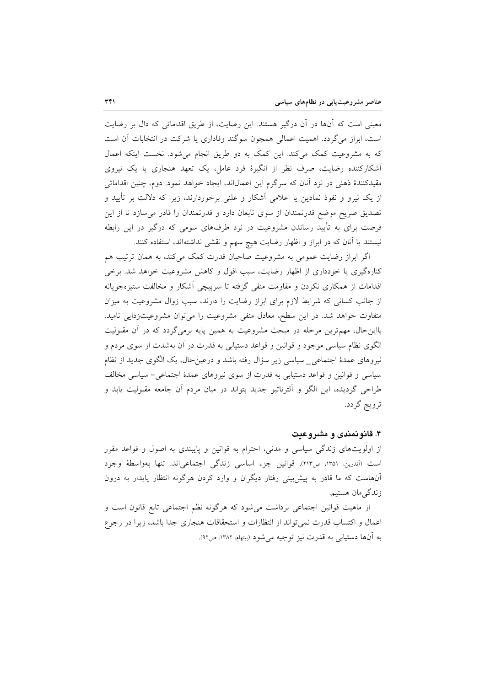معینی است که آنها در آن درگیر هستند. این رضایت، از طریق اقداماتی که دال بر رضایت است، ابراز می گردد. اهمیت اعمالی همچون سوگند وفاداری یا شرکت در انتخابات آن است که به مشروعیت کمک میکند. این کمک به دو طریق انجام میشود. نخست اینکه اعمال آشکارکننده رضایت، صرف نظر از انگیزهٔ فرد عامل، یک تعهد هنجاری یا یک نیروی مقیدکنندهٔ ذهنی در نزد آنان که سرگرم این اعمالاند، ایجاد خواهد نمود. دوم، چنین اقداماتی از یک نیرو و نفوذ نمادین یا اعلامی آشکار و علنی برخوردارند، زیرا که دلالت بر تأیید و تصدیق صریح موضع قدرتمندان از سوی تابعان دارد و قدرتمندان را قادر می سازد تا از این فرصت برای به تأیید رساندن مشروعیت در نزد طرفهای سومی که درگیر در این رابطه نیستند یا آنان که در ابراز و اظهار رضایت هیچ سهم و نقشی نداشتهاند، استفاده کنند.

اگر ابراز رضایت عمومی به مشروعیت صاحبان قدرت کمک می کند، به همان ترتیب هم کنارهگیری یا خودداری از اظهار رضایت، سبب افول و کاهش مشروعیت خواهد شد. برخی اقدامات از همکاری نکردن و مقاومت منفی گرفته تا سرپیچی آشکار و مخالفت ستیزهجویانه از جانب کسانی که شرایط لازم برای ابراز رضایت را دارند، سبب زوال مشروعیت به میزان متفاوت خواهد شد. در این سطح، معادل منفی مشروعیت را می توان مشروعیتزدایی نامید. بااین حال، مهمترین مرحله در مبحث مشروعیت به همین پایه برمیگردد که در آن مقبولیت الگوی نظام سیاسی موجود و قوانین و قواعد دستیابی به قدرت در آن بهشدت از سوی مردم و نیروهای عمدهٔ اجتماعی\_ سیاسی زیر سؤال رفته باشد و درعینحال، یک الگوی جدید از نظام سیاسی و قوانین و قواعد دستیابی به قدرت از سوی نیروهای عمدهٔ اجتماعی- سیاسی مخالف طراحی گردیده، این الگو و اَلترناتیو جدید بتواند در میان مردم اَن جامعه مقبولیت یابد و ترويج گردد.

# ۴. قانونمندی و مشروعیت

از اولویتهای زندگی سیاسی و مدنی، احترام به قوانین و پایبندی به اصول و قواعد مقرر است (آندرین، ۱۳۵۱، ص۲۱۳). قوانین جزء اساسی زندگی اجتماعیاند. تنها بهواسطهٔ وجود آنهاست که ما قادر به پیش بینی رفتار دیگران و وارد کردن هرگونه انتظار پایدار به درون زندگ<sub>ی</sub>مان هستیم.

از ماهیت قوانین اجتماعی برداشت میشود که هرگونه نظم اجتماعی تابع قانون است و اعمال و اکتساب قدرت نمی تواند از انتظارات و استحقاقات هنجاری جدا باشد، زیرا در رجوع به آنها دستيابي به قدرت نيز توجيه مي شود (بيتهام، ١٣٨٢، ص٩٢).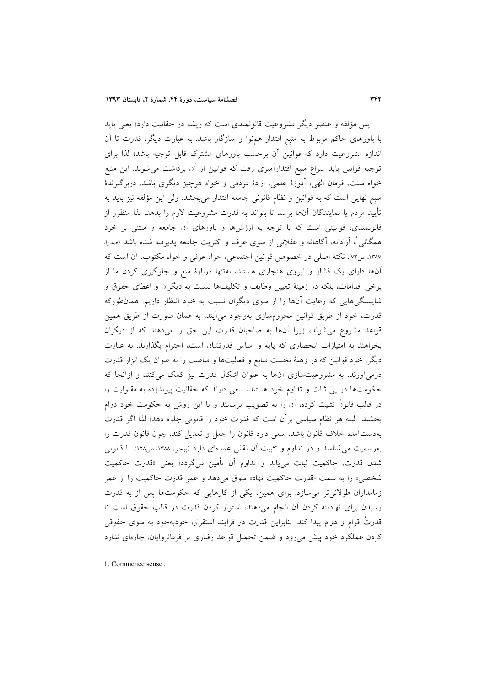پس مؤلفه و عنصر دیگر مشروعیت قانونمندی است که ریشه در حقانیت دارد؛ یعنی باید با باورهای حاکم مربوط به منبع اقتدار همهنوا و سازگار باشد. به عبارت دیگر، قدرت تا آن اندازه مشروعیت دارد که قوانین آن برحسب باورهای مشترک قابل توجیه باشد؛ لذا برای توجیه قوانین باید سراغ منبع اقتدارآمیزی رفت که قوانین از آن برداشت می شوند. این منبع خواه سنت، فرمان الهي، آموزهٔ علمي، ارادهٔ مردمي و خواه هرچيز ديگري باشد، دربرگيرندهٔ منبع نهایی است که به قوانین و نظام قانونی جامعه اقتدار میبخشد. ولی این مؤلفه نیز باید به تأييد مردم يا نمايندگان آنها برسد تا بتواند به قدرت مشروعيت لازم را بدهد. لذا منظور از قانونمندی، قوانینی است که با توجه به ارزشها و باورهای آن جامعه و مبتنی بر خرد همگانی ْ، اَزادانه، اَگاهانه و عقلانی از سوی عرف و اکثریت جامعه پذیرفته شده باشد (صدرا، ١٣٨٧، ص٣٣). نكتهٔ اصلي در خصوص قوانين اجتماعي، خواه عرفي و خواه مكتوب، آن است كه آنها دارای یک فشار و نیروی هنجاری هستند، نهتنها دربارهٔ منع و جلوگیری کردن ما از برخی اقدامات، بلکه در زمینهٔ تعیین وظایف و تکلیفها نسبت به دیگران و اعطای حقوق و شایستگیهایی که رعایت آنها را از سوی دیگران نسبت به خود انتظار داریم. همان طورکه قدرت، خود از طریق قوانین محرومسازی بهوجود می]یند، به همان صورت از طریق همین قواعد مشروع می شوند، زیرا آنها به صاحبان قدرت این حق را میدهند که از دیگران بخواهند به امتیازات انحصاری که پایه و اساس قدرتشان است، احترام بگذارند. به عبارت دیگر، خود قوانین که در وهلهٔ نخست منابع و فعالیتها و مناصب را به عنوان یک ابزار قدرت درمیآورند، به مشروعیتسازی آنها به عنوان اشکال قدرت نیز کمک میکنند و ازآنجا که حکومتها در پی ثبات و تداوم خود هستند، سعی دارند که حقانیت پیوندزده به مقبولیت را در قالب قانونْ تثبیت کرده، آن را به تصویب برسانند و با این روش به حکومت خود دوام بخشند. البته هر نظام سياسي برأن است كه قدرت خود را قانوني جلوه دهد؛ لذا اگر قدرت بهدستآمده خلاف قانون باشد، سعى دارد قانون را جعل و تعديل كند، چون قانون قدرت را بهرسمیت میشناسد و در تداوم و تثبیت آن نقش عمدمای دارد (پوجی، ۱۳۸۸، ص۱۲۸). با قانونی شدن قدرت، حاكميت ثبات م<sub>ى ي</sub>ابد و تداوم أن تأمين مىگردد؛ يعنى «قدرت حاكميت شخصي» را به سمت «قدرت حاكميت نهاد» سوق مي<هد و عمر قدرت حاكميت را از عمر زمامداران طولانی تر می سازد. برای همین، یکی از کارهایی که حکومتها پس از به قدرت رسیدن برای نهادینه کردن آن انجام میدهند، استوار کردن قدرت در قالب حقوق است تا قدرتٌ قوام و دوام پیدا کند. بنابراین قدرت در فرایند استقرار، خودبهخود به سوی حقوقی کردن عملکرد خود پیش میرود و ضمن تحمیل قواعد رفتاری بر فرمانروایان، چارهای ندارد

1. Commence sense.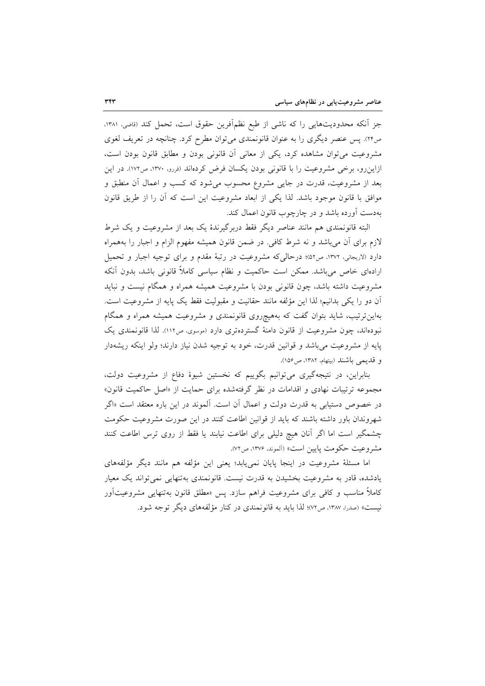جزِ اّنکه محدودیتهایی را که ناشی از طبع نظماًفرین حقوق است، تحمل کند (قاضی، ۱۳۸۱، ص٢٢). پس عنصر دیگری را به عنوان قانونمندی می توان مطرح کرد. چنانچه در تعریف لغوی مشروعیت میتوان مشاهده کرد، یکی از معانی أن قانونی بودن و مطابق قانون بودن است، ازاینرو، برخی مشروعیت را با قانونی بودن یکسان فرض کردهاند (فررو، ۱۳۷۰، ص۱۷۲). در این بعد از مشروعیت، قدرت در جایی مشروع محسوب میشود که کسب و اعمال آن منطبق و موافق با قانون موجود باشد. لذا یکی از ابعاد مشروعیت این است که آن را از طریق قانون بهدست آورده باشد و در چارچوب قانون اعمال کند.

البته قانونمندی هم مانند عناصر دیگر فقط دربرگیرندهٔ یک بعد از مشروعیت و یک شرط لازم برای آن میباشد و نه شرط کافی. در ضمن قانون همیشه مفهوم الزام و اجبار را بههمراه دارد (لاریجانی، ۱۳۷۲، ص۵۲)؛ درحالی که مشروعیت در رتبهٔ مقدم و برای توجیه اجبار و تحمیل ارادهای خاص می باشد. ممکن است حاکمیت و نظام سیاسی کاملاً قانونی باشد، بدون آنکه مشروعیت داشته باشد، چون قانونی بودن با مشروعیت همیشه همراه و همگام نیست و نباید آن دو را يكي بدانيم؛ لذا اين مؤلفه مانند حقانيت و مقبوليت فقط يك پايه از مشروعيت است. بهاین ترتیب، شاید بتوان گفت که بههیچروی قانونمندی و مشروعیت همیشه همراه و همگام نبودهاند، چون مشروعیت از قانون دامنهٔ گستردهتری دارد (موسوی، ص١١٢). لذا قانونمندی یک پایه از مشروعیت میباشد و قوانین قدرت، خود به توجیه شدن نیاز دارند؛ ولو اینکه ریشهدار و قديمي باشند (بيتهام، ١٣٨٢، ص١٥۶).

بنابراین، در نتیجهگیری میتوانیم بگوییم که نخستین شیوهٔ دفاع از مشروعیت دولت، مجموعه ترتیبات نهادی و اقدامات در نظر گرفتهشده برای حمایت از «اصل حاکمیت قانون» در خصوص دستیابی به قدرت دولت و اعمال آن است. آلموند در این باره معتقد است «اگر شهروندان باور داشته باشند که باید از قوانین اطاعت کنند در این صورت مشروعیت حکومت چشمگیر است اما اگر آنان هیچ دلیلی برای اطاعت نیابند یا فقط از روی ترس اطاعت کنند مشروعيت حكومت پايين است» (آلموند، ١٣٧۶، ص٧٢).

اما مسئلهٔ مشروعیت در اینجا پایان نمی،یابد؛ یعنی این مؤلفه هم مانند دیگر مؤلفههای یادشده، قادر به مشروعیت بخشیدن به قدرت نیست. قانونمندی بهتنهایی نمی تواند یک معیار کاملاً مناسب و کافی برای مشروعیت فراهم سازد. پس «مطلق قانون بهتنهایی مشروعیتآور نیست» (صدرا، ۱۳۸۷، ص۷۲)؛ لذا باید به قانونمندی در کنار مؤلفههای دیگر توجه شود.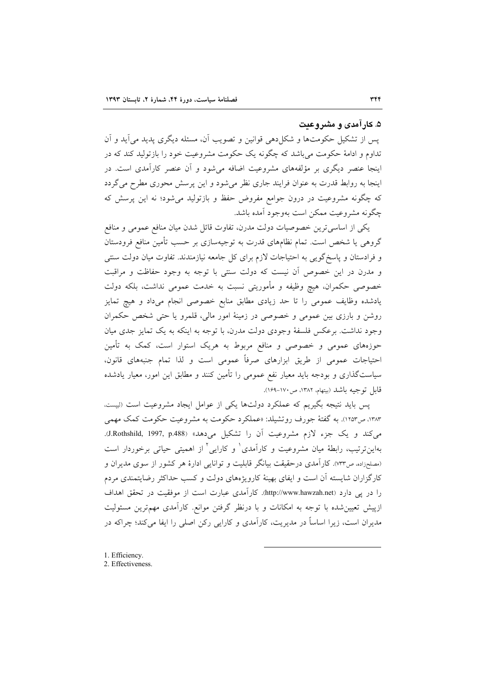### ۵. کارآمدی و مشروعت

يس از تشكيل حكومتها و شكل دهي قوانين و تصويب آن، مسئله ديگري پديد مي آيد و آن تداوم و ادامهٔ حکومت میباشد که چگونه یک حکومت مشروعیت خود را بازتولید کند که در اینجا عنصر دیگری بر مؤلفههای مشروعیت اضافه میشود و آن عنصر کارآمدی است. در اینجا به روابط قدرت به عنوان فرایند جاری نظر می شود و این پرسش محوری مطرح می گردد که چگونه مشروعیت در درون جوامع مفروض حفظ و بازتولید می شود؛ نه این پرسش که چگونه مشروعیت ممکن است بهوجود آمده باشد.

یکی از اساسی ترین خصوصیات دولت مدرن، تفاوت قائل شدن میان منافع عمومی و منافع گروهی یا شخص است. تمام نظامهای قدرت به توجیهسازی بر حسب تأمین منافع فرودستان و فرادستان و پاسخ گویی به احتیاجات لازم برای کل جامعه نیازمندند. تفاوت میان دولت سنتی و مدرن در این خصوص آن نیست که دولت سنتی با توجه به وجود حفاظت و مراقبت خصوصی حکمران، هیچ وظیفه و مأموریتی نسبت به خدمت عمومی نداشت، بلکه دولت یادشده وظایف عمومی را تا حد زیادی مطابق منابع خصوصی انجام میداد و هیچ تمایز روشن و بارزی بین عمومی و خصوصی در زمینهٔ امور مالی، قلمرو یا حتی شخص حکمران وجود نداشت. برعکس فلسفهٔ وجودی دولت مدرن، با توجه به اینکه به یک تمایز جدی میان حوزههای عمومی و خصوصی و منافع مربوط به هریک استوار است، کمک به تأمین احتیاجات عمومی از طریق ابزارهای صرفاً عمومی است و لذا تمام جنبههای قانون، سیاستگذاری و بودجه باید معیار نفع عمومی را تأمین کنند و مطابق این امور، معیار یادشده قابل توجيه باشد (بيتهام، ١٣٨٢، ص١٧٠-١۶٩).

پس باید نتیجه بگیریم که عملکرد دولتها یکی از عوامل ایجاد مشروعیت است (لیست. ۱۳۸۳، ص۱۲۵۳). به گفتهٔ جورف روتشیلد: «عملکرد حکومت به مشروعیت حکومت کمک مهمی می کند و یک جزء لازم مشروعیت آن را تشکیل می دهد» (J.Rothshild, 1997, p.488). بهاین ترتیب، رابطهٔ میان مشروعیت و کارآمدی و کارایی آ از اهمیتی حیاتی برخوردار است (مصلحزاده، ص٣٣). كارآمدي درحقيقت بيانگر قابليت و توانايي ادارهٔ هر كشور از سوي مديران و کارگزاران شایسته آن است و ایفای بهینهٔ کارویژههای دولت و کسب حداکثر رضایتمندی مردم را در پی دارد (http://www.hawzah.net). کارآمدی عبارت است از موفقیت در تحقق اهداف ازپیش تعیین شده با توجه به امکانات و با درنظر گرفتن موانع. کارآمدی مهمترین مسئولیت مدیران است، زیرا اساساً در مدیریت، کارآمدی و کارایی رکن اصلی را ایفا میکند؛ چراکه در

- 1. Efficiency.
- 2. Effectiveness.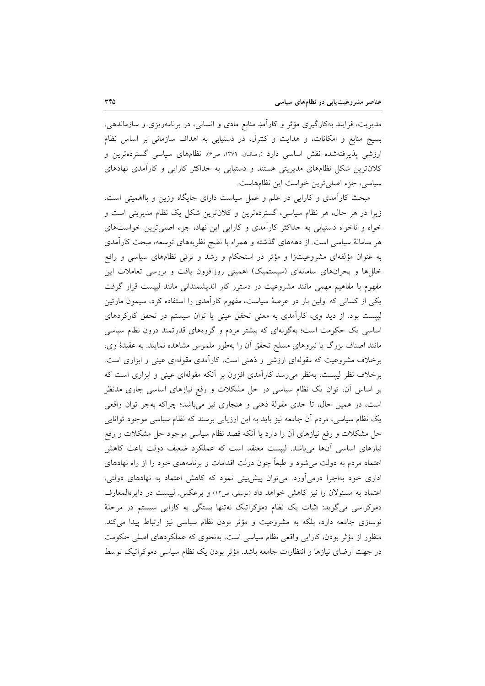مدیریت، فرایند بهکارگیری مؤثر و کارآمدِ منابع مادی و انسانی، در برنامهریزی و سازماندهی، بسیج منابع و امکانات، و هدایت و کنترل، در دستیابی به اهداف سازمانی بر اساس نظام ارزشی پذیرفتهشده نقش اساسی دارد (رضائیان، ۱۳۷۹، ص۶). نظامهای سیاسی گستردهترین و کلان ترین شکل نظامهای مدیریتی هستند و دستیابی به حداکثر کارایی و کارآمدی نهادهای سیاسی، جزء اصلی ترین خواست این نظامهاست.

مبحث کارآمدی و کارایی در علم و عمل سیاست دارای جایگاه وزین و بااهمیتی است، زیرا در هر حال، هر نظام سیاسی، گستردهترین و کلانترین شکل یک نظام مدیریتی است و خواه و ناخواه دستیابی به حداکثر کارآمدی و کارایی این نهاد، جزء اصلی ترین خواستهای هر سامانهٔ سیاسی است. از دهههای گذشته و همراه با نضج نظریههای توسعه، مبحث کارآمدی به عنوان مؤلفهای مشروعیتزا و مؤثر در استحکام و رشد و ترقی نظامهای سیاسی و رافع خللها و بحرانهای سامانهای (سیستمیک) اهمیتی روزافزون یافت و بررسی تعاملات این مفهوم با مفاهیم مهمی مانند مشروعیت در دستور کار اندیشمندانی مانند لیپست قرار گرفت یکی از کسانی که اولین بار در عرصهٔ سیاست، مفهوم کارآمدی را استفاده کرد، سیمون مارتین لیپست بود. از دید وی، کارآمدی به معنی تحقق عینی یا توان سیستم در تحقق کارکردهای اساسی یک حکومت است؛ بهگونهای که بیشتر مردم و گروههای قدرتمند درون نظام سیاسی مانند اصناف بزرگ یا نیروهای مسلح تحقق آن را بهطور ملموس مشاهده نمایند. به عقیدهٔ وی، برخلاف مشروعیت که مقولهای ارزشی و ذهنی است، کارآمدی مقولهای عینی و ابزاری است. برخلاف نظر لیپست، بهنظر میرسد کارآمدی افزون بر آنکه مقولهای عینی و ابزاری است که بر اساس آن، توان یک نظام سیاسی در حل مشکلات و رفع نیازهای اساسی جاری مدنظر است، در همین حال، تا حدی مقولهٔ ذهنی و هنجاری نیز میباشد؛ چراکه بهجز توان واقعی یک نظام سیاسی، مردم آن جامعه نیز باید به این ارزیابی برسند که نظام سیاسی موجود توانایی حل مشکلات و رفع نیازهای آن را دارد یا آنکه قصد نظام سیاسی موجود حل مشکلات و رفع نیازهای اساسی آنها میباشد. لیپست معتقد است که عملکرد ضعیف دولت باعث کاهش اعتماد مردم به دولت می شود و طبعاً چون دولت اقدامات و برنامههای خود را از راه نهادهای اداری خود بهاجرا درمیآورد. می توان پیش بینی نمود که کاهش اعتماد به نهادهای دولتی، اعتماد به مسئولان را نیز کاهش خواهد داد (یوسفی، ص١٢) و برعکس. لیپست در دایرهالمعارف دموکراسی میگوید: «ثبات یک نظام دموکراتیک نهتنها بستگی به کارایی سیستم در مرحلهٔ نوسازی جامعه دارد، بلکه به مشروعیت و مؤثر بودن نظام سیاسی نیز ارتباط پیدا می کند. منظور از مؤثر بودن، کارایی واقعی نظام سیاسی است، بهنحوی که عملکردهای اصلی حکومت در جهت ارضای نیازها و انتظارات جامعه باشد. مؤثر بودن یک نظام سیاسی دموکراتیک توسط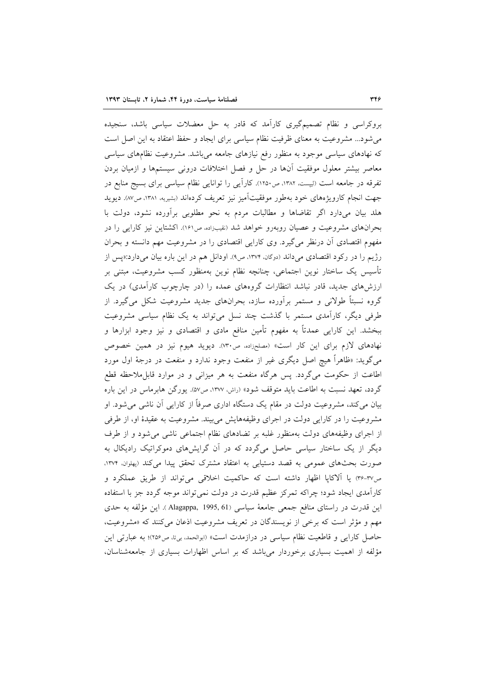بروکراسی و نظام تصمیمگیری کارآمد که قادر به حل معضلات سیاسی باشد، سنجیده می شود... مشروعیت به معنای ظرفیت نظام سیاسی برای ایجاد و حفظ اعتقاد به این اصل است که نهادهای سیاسی موجود به منظور رفع نیازهای جامعه میباشد. مشروعیت نظامهای سیاسی معاصر بیشتر معلول موفقیت آنها در حل و فصل اختلافات درونی سیستمها و ازمیان بردن تفرقه در جامعه است (لیپست، ۱۳۸۲، ص۱۲۵۰). کاراً یی را توانایی نظام سیاسی برای بسیج منابع در جهت انجام کارویژههای خود بهطور موفقیتآمیز نیز تعریف کردهاند (بشیریه، ۱۳۸۱، ص۸۷). دیوید هلد بیان می،دارد اگر تقاضاها و مطالبات مردم به نحو مطلوبی برآورده نشود، دولت با بحرانهای مشروعیت و عصیان روبهرو خواهد شد (نقیبزاده ص۱۶۱). اکشتاین نیز کارایی را در مفهوم اقتصادی أن درنظر میگیرد. وی کارایی اقتصادی را در مشروعیت مهم دانسته و بحران رژیم را در رکود اقتصادی میداند (دوگان، ۱۳۷۴، ص۹). اودانل هم در این باره بیان میدارد:«پس از تأسیس یک ساختار نوین اجتماعی، چنانچه نظام نوین بهمنظور کسب مشروعیت، مبتنی بر ارزشهای جدید، قادر نباشد انتظارات گروههای عمده را (در چارچوب کارآمدی) در یک گروه نسبتاً طولانی و مستمر برآورده سازد، بحرانهای جدید مشروعیت شکل میگیرد. از طرفی دیگر، کارآمدی مستمر با گذشت چند نسل میتواند به یک نظام سیاسی مشروعیت ببخشد. این کارایی عمدتاً به مفهوم تأمین منافع مادی و اقتصادی و نیز وجود ابزارها و نهادهای لازم برای این کار است» (مصلحزاده، ص۳۰). دیوید هیوم نیز در همین خصوص میگوید: «ظاهراً هیچ اصل دیگری غیر از منفعت وجود ندارد و منفعت در درجهٔ اول مورد اطاعت از حکومت میگردد. پس هرگاه منفعت به هر میزانی و در موارد قابل.ملاحظه قطع گردد، تعهد نسبت به اطاعت باید متوقف شود» (راش، ۱۳۷۷، ص۵۷). یورگن هابرماس در این باره بیان میکند، مشروعیت دولت در مقام یک دستگاه اداری صرفاً از کارایی آن ناشی میشود. او مشروعیت را در کارایی دولت در اجرای وظیفههایش می بیند. مشروعیت به عقیدهٔ او، از طرفی از اجرای وظیفههای دولت بهمنظور غلبه بر تضادهای نظام اجتماعی ناشی می شود و از طرف دیگر از یک ساختار سیاسی حاصل میگردد که در آن گرایشهای دموکراتیک رادیکال به صورت بحثهای عمومی به قصد دستیابی به اعتقاد مشترک تحقق پیدا میکند (پهلوان، ۱۳۷۴، ص٣٧-٣٤ يا آلاكايا اظهار داشته است كه حاكميت اخلاقي مي تواند از طريق عملكرد و کارآمدی ایجاد شود؛ چراکه تمرکز عظیم قدرت در دولت نمی تواند موجه گردد جز با استفاده این قدرت در راستای منافع جمعی جامعهٔ سیاسی Alagappa, 1995, 61). این مؤلفه به حدی مهم و مؤثر است که برخی از نویسندگان در تعریف مشروعیت اذعان میکنند که «مشروعیت، حاصل کارایی و قاطعیت نظام سیاسی در درازمدت است» (ابوالحمد، بی تا، ص۲۵۶)؛ به عبارتی این مؤلفه از اهمیت بسیاری برخوردار میباشد که بر اساس اظهارات بسیاری از جامعهشناسان،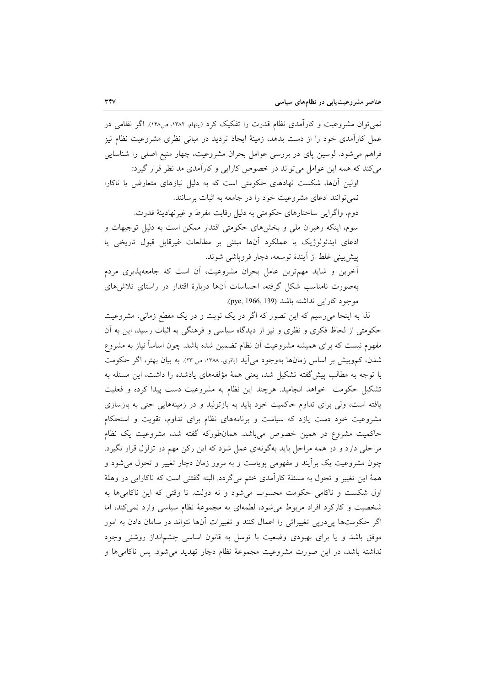نمی توان مشروعیت و کارآمدی نظام قدرت را تفکیک کرد (بیتهام، ۱۳۸۲، ص۱۴۸). اگر نظامی در عمل کارآمدی خود را از دست بدهد، زمینهٔ ایجاد تردید در مبانی نظری مشروعیت نظام نیز فراهم میشود. لوسین پای در بررسی عوامل بحران مشروعیت، چهار منبع اصلی را شناسایی می کند که همه این عوامل می تواند در خصوص کارایی و کارآمدی مد نظر قرار گیرد:

اولین آنها، شکست نهادهای حکومتی است که به دلیل نیازهای متعارض یا ناکارا نمی توانند ادعای مشروعیت خود را در جامعه به اثبات برسانند. دوم، واگرایی ساختارهای حکومتی به دلیل رقابت مفرط و غیرنهادینهٔ قدرت. سوم، اینکه رهبران ملی و بخشهای حکومتی اقتدار ممکن است به دلیل توجیهات و ادعای ایدئولوژیک یا عملکرد آنها مبتنی بر مطالعات غیرقابل قبول تاریخی یا پیش بینی غلط از آیندهٔ توسعه، دچار فروپاشی شوند. آخرین و شاید مهمترین عامل بحران مشروعیت، آن است که جامعهپذیری مردم

بهصورت نامناسب شکل گرفته، احساسات آنها دربارهٔ اقتدار در راستای تلاشهای موجود كارايي نداشته باشد (139, pye, 1966, 139).

لذا به اینجا میرسیم که این تصور که اگر در یک نوبت و در یک مقطع زمانی، مشروعیت حکومتی از لحاظ فکری و نظری و نیز از دیدگاه سیاسی و فرهنگی به اثبات رسید، این به آن مفهوم نیست که برای همیشه مشروعیت آن نظام تضمین شده باشد. چون اساساً نیاز به مشروع شدن، کم وبیش بر اساس زمانها بهوجود می[ید (باقری، ۱۳۸۸، ص ۲۳). به بیان بهتر، اگر حکومت با توجه به مطالب پیشگفته تشکیل شد، یعنی همهٔ مؤلفههای یادشده را داشت، این مسئله به تشکیل حکومت خواهد انجامید. هرچند این نظام به مشروعیت دست پیدا کرده و فعلیت یافته است، ولی برای تداوم حاکمیت خود باید به بازتولید و در زمینههایی حتی به بازسازی مشروعیت خود دست یازد که سیاست و برنامههای نظام برای تداوم، تقویت و استحکام حاکمیت مشروع در همین خصوص میباشد. همانطورکه گفته شد، مشروعیت یک نظام مراحلی دارد و در همه مراحل باید بهگونهای عمل شود که این رکن مهم در تزلزل قرار نگیرد. چون مشروعیت یک برآیند و مفهومی پویاست و به مرور زمان دچار تغییر و تحول میشود و همهٔ این تغییر و تحول به مسئلهٔ کارآمدی ختم میگردد. البته گفتنی است که ناکارایی در وهلهٔ اول شکست و ناکامی حکومت محسوب می شود و نه دولت. تا وقتی که این ناکامیها به شخصیت و کارکرد افراد مربوط می شود، لطمهای به مجموعهٔ نظام سیاسی وارد نمی کند، اما اگر حکومتها ییدریی تغییراتی را اعمال کنند و تغییرات آنها نتواند در سامان دادن به امور موفق باشد و یا برای بهبودی وضعیت با توسل به قانون اساسی چشم|نداز روشنی وجود نداشته باشد، در این صورت مشروعیت مجموعهٔ نظام دچار تهدید می شود. پس ناکامی ها و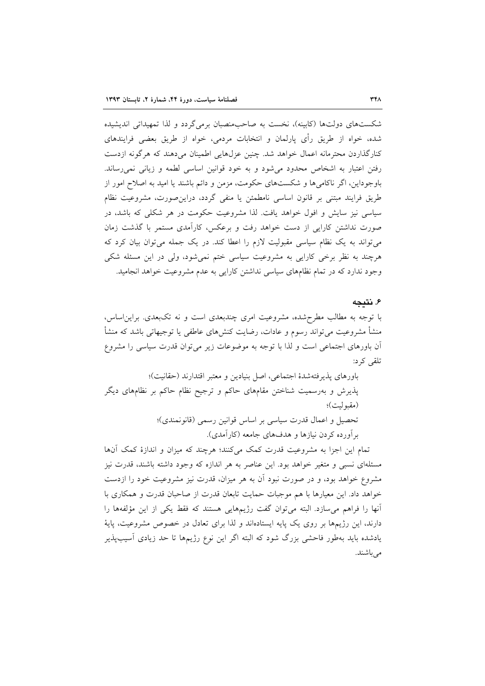شکستهای دولتها (کابینه)، نخست به صاحب منصبان برمی گردد و لذا تمهیداتی اندیشیده شده، خواه از طریق رأی پارلمان و انتخابات مردمی، خواه از طریق بعضی فرایندهای کنارگذاردن محترمانه اعمال خواهد شد. چنین عزلهایی اطمینان میدهند که هرگونه ازدست رفتن اعتبار به اشخاص محدود می شود و به خود قوانین اساسی لطمه و زیانی نمی رساند. باوجوداین، اگر ناکامیها و شکستهای حکومت، مزمن و دائم باشند یا امید به اصلاح امور از طریق فرایند مبتنی بر قانون اساسی نامطمئن یا منفی گردد، دراین صورت، مشروعیت نظام سیاسی نیز سایش و افول خواهد یافت. لذا مشروعیت حکومت در هر شکلی که باشد، در صورت نداشتن کارایی از دست خواهد رفت و برعکس، کارآمدی مستمر با گذشت زمان می تواند به یک نظام سیاسی مقبولیت لازم را اعطا کند. در یک جمله می توان بیان کرد که هرچند به نظر برخی کارایی به مشروعیت سیاسی ختم نمیشود، ولی در این مسئله شکی وجود ندارد که در تمام نظامهای سیاسی نداشتن کارایی به عدم مشروعیت خواهد انجامید.

### ۶. نتىجە

با توجه به مطالب مطرحشده، مشروعیت امری چندبعدی است و نه تکبعدی. براین اساس، منشأ مشروعیت می تواند رسوم و عادات، رضایت کنشهای عاطفی یا توجیهاتی باشد که منشأ آن باورهای اجتماعی است و لذا با توجه به موضوعات زیر می توان قدرت سیاسی را مشروع تلقى كړد:

باورهاي پذيرفتهشدهٔ اجتماعي، اصل بنيادين و معتبر اقتدارند (حقانيت)؛ پذیرش و بهرسمیت شناختن مقامهای حاکم و ترجیح نظام حاکم بر نظامهای دیگر (مقبوليت)؛ تحصیل و اعمال قدرت سیاسی بر اساس قوانین رسمی (قانونمندی)؛ بر آورده کردن نیازها و هدفهای جامعه (کارآمدی).

تمام این اجزا به مشروعیت قدرت کمک میکنند؛ هرچند که میزان و اندازهٔ کمک آنها مسئلهای نسبی و متغیر خواهد بود. این عناصر به هر اندازه که وجود داشته باشند، قدرت نیز مشروع خواهد بود، و در صورت نبود آن به هر میزان، قدرت نیز مشروعیت خود را ازدست خواهد داد. این معیارها با هم موجبات حمایت تابعان قدرت از صاحبان قدرت و همکاری با آنها را فراهم می سازد. البته می توان گفت رژیمهایی هستند که فقط یکی از این مؤلفهها را دارند، این رژیمها بر روی یک پایه ایستادهاند و لذا برای تعادل در خصوص مشروعیت، پایهٔ یادشده باید بهطور فاحشی بزرگ شود که البته اگر این نوع رژیمها تا حد زیادی آسیبپذیر می باشند.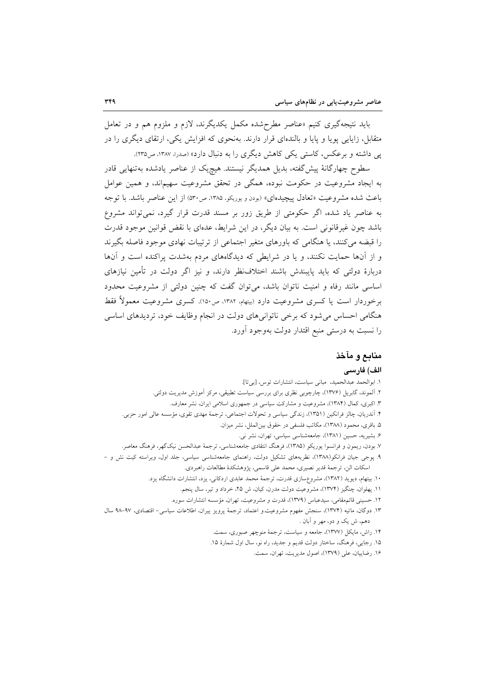باید نتیجهگیری کنیم «عناصر مطرحشده مکمل یکدیگرند، لازم و ملزوم هم و در تعامل متقابل، زاپایی پوپا و پایا و بالندهای قرار دارند. بهنحوی که افزایش یکی، ارتقای دیگری را در یی داشته و برعکس، کاستی یکی کاهش دیگری را به دنبال دارد» (صدرا، ۱۳۸۷، ص۲۳۵).

سطوح چهارگانهٔ پیشگفته، بدیل همدیگر نیستند. هیچیک از عناصر یادشده بهتنهایی قادر به ایجاد مشروعیت در حکومت نبوده، همگی در تحقق مشروعیت سهیماند، و همین عوامل باعث شده مشروعیت «تعادل پیچیدهای» (بودن و پوریکو، ۱۳۸۵، ص۳۰) از این عناصر باشد. با توجه به عناصر یاد شده، اگر حکومتی از طریق زور بر مسند قدرت قرار گیرد، نمی تواند مشروع باشد چون غیرقانونی است. به بیان دیگر، در این شرایط، عدهای با نقض قوانین موجود قدرت را قبضه می کنند، یا هنگامی که باورهای متغیر اجتماعی از ترتیبات نهادی موجود فاصله بگیرند و از آنها حمایت نکنند، و یا در شرایطی که دیدگاههای مردم بهشدت پراکنده است و آنها دربارهٔ دولتی که باید پایبندش باشند اختلافنظر دارند، و نیز اگر دولت در تأمین نیازهای اساسی مانند رفاه و امنیت ناتوان باشد، می توان گفت که چنین دولتی از مشروعیت محدود برخوردار است یا کسری مشروعیت دارد (بیتهام، ۱۳۸۲، ص۱۵۰). کسری مشروعیت معمولاً فقط هنگامی احساس میشود که برخی ناتوانیهای دولت در انجام وظایف خود، تردیدهای اساسی را نسبت به درستی منبع اقتدار دولت بهوجود آورد.

# منابع و مآخذ

### الف) فارسى

- ١. ابوالحمد عبدالحميد، مباني سياست، انتشارات توس، [بي تا]. ۲. آلموند، گابریل (۱۳۷۶)، چارچوبی نظری برای بررسی سیاست تطبیقی، مرکز آموزش مدیریت دولتی. ۳. اکبری، کمال (۱۳۸۴)، مشروعیت و مشارکت سیاسی در جمهوری اسلامی ایران، نشر معارف. ۴. آندریان، چالز فرانکین (۱۳۵۱)، زندگی سیاسی و تحولات اجتماعی، ترجمهٔ مهدی تقوی، مؤسسه عالی امور حزبی. ۵. باقری، محمود (۱۳۸۸)، مکاتب فلسفی در حقوق بینالملل، نشر میزان. ۶. بشیریه، حسین (۱۳۸۱)، جامعهشناسی سیاسی، تهران، نشر نی. ۷. بودن، ریمون و فرانسوا یوریکو (۱۳۸۵)، فرهنگ انتقادی جامعهشناسی، ترجمهٔ عبدالحسن نیکگهر، فرهنگ معاصر. ۹. پوجی جیان فرانکو(۱۳۸۸)، نظریههای تشکیل دولت، راهنمای جامعهشناسی سیاسی، جلد اول، ویراسته کیت نش و – اسكات الن، ترجمة قدير نصيري، محمد على قاسمي، پژوهشكدهٔ مطالعات راهبردي. ۱۰. بیتهام، دیوید (۱۳۸۲)، مشروع،سازی قدرت، ترجمهٔ محمد عابدی اردکانی، یزد، انتشارات دانشگاه یزد. ١١. پهلوان، چنگيز (١٣٧۴)، مشروعيت دولت مدرن، كيان، ش ٢۵، خرداد و تير، سال پنجم. ۱۲. حسینی قائمهقامی، سیدعباس (۱۳۷۹)، قدرت و مشروعیت، تهران، مؤسسه انتشارات سوره. ١٣. دوگان، ماتيه (١٣٧٤)، سنجش مفهوم مشروعيت.و اعتماد، ترجمهٔ پرويز ييران، اطلاعات سياسي- اقتصادى، ٩٧-٩٨ سال دهم، ش یک و دو، مهر و آبان .
	- ۱۴. راش، مایکل (۱۳۷۷)، جامعه و سیاست، ترجمهٔ منوچهر صبوری، سمت.
	- ۱۵. رجایی، فرهنگ، ساختار دولت قدیم و جدید، راه نو، سال اول شمارهٔ ۱۵.
		- ١۶. رضاييان، على (١٣٧٩)، اصول مديريت، تهران، سمت.